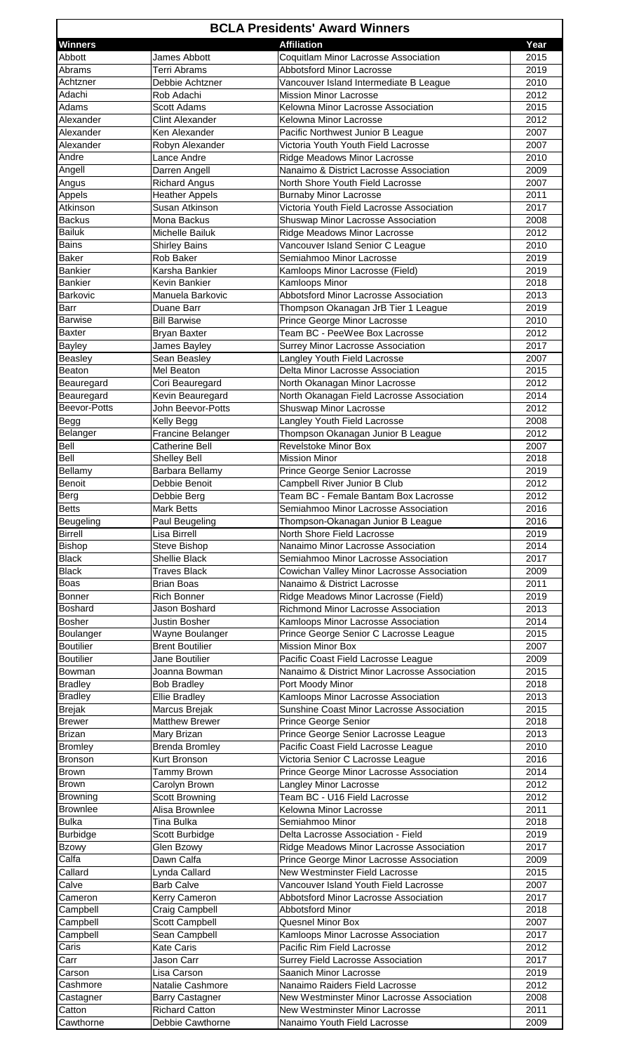|                                 |                                            | <b>BCLA Presidents' Award Winners</b>                                          |              |
|---------------------------------|--------------------------------------------|--------------------------------------------------------------------------------|--------------|
| <b>Winners</b>                  |                                            | <b>Affiliation</b>                                                             | Year         |
| Abbott                          | James Abbott                               | Coquitlam Minor Lacrosse Association                                           | 2015         |
| Abrams                          | <b>Terri Abrams</b>                        | <b>Abbotsford Minor Lacrosse</b>                                               | 2019         |
| Achtzner                        | Debbie Achtzner                            | Vancouver Island Intermediate B League                                         | 2010         |
| Adachi                          | Rob Adachi                                 | <b>Mission Minor Lacrosse</b>                                                  | 2012         |
| Adams                           | Scott Adams                                | Kelowna Minor Lacrosse Association                                             | 2015         |
| Alexander<br>Alexander          | <b>Clint Alexander</b><br>Ken Alexander    | Kelowna Minor Lacrosse<br>Pacific Northwest Junior B League                    | 2012<br>2007 |
| Alexander                       | Robyn Alexander                            | Victoria Youth Youth Field Lacrosse                                            | 2007         |
| Andre                           | Lance Andre                                | Ridge Meadows Minor Lacrosse                                                   | 2010         |
| Angell                          | Darren Angell                              | Nanaimo & District Lacrosse Association                                        | 2009         |
| Angus                           | <b>Richard Angus</b>                       | North Shore Youth Field Lacrosse                                               | 2007         |
| Appels                          | <b>Heather Appels</b>                      | <b>Burnaby Minor Lacrosse</b>                                                  | 2011         |
| Atkinson                        | Susan Atkinson                             | Victoria Youth Field Lacrosse Association                                      | 2017         |
| <b>Backus</b>                   | Mona Backus                                | Shuswap Minor Lacrosse Association                                             | 2008         |
| <b>Bailuk</b>                   | Michelle Bailuk                            | Ridge Meadows Minor Lacrosse                                                   | 2012         |
| Bains                           | <b>Shirley Bains</b>                       | Vancouver Island Senior C League                                               | 2010         |
| <b>Baker</b>                    | Rob Baker                                  | Semiahmoo Minor Lacrosse                                                       | 2019         |
| Bankier<br><b>Bankier</b>       | Karsha Bankier<br>Kevin Bankier            | Kamloops Minor Lacrosse (Field)<br>Kamloops Minor                              | 2019<br>2018 |
| Barkovic                        | Manuela Barkovic                           | Abbotsford Minor Lacrosse Association                                          | 2013         |
| Barr                            | Duane Barr                                 | Thompson Okanagan JrB Tier 1 League                                            | 2019         |
| Barwise                         | <b>Bill Barwise</b>                        | Prince George Minor Lacrosse                                                   | 2010         |
| <b>Baxter</b>                   | <b>Bryan Baxter</b>                        | Team BC - PeeWee Box Lacrosse                                                  | 2012         |
| Bayley                          | James Bayley                               | Surrey Minor Lacrosse Association                                              | 2017         |
| Beasley                         | Sean Beasley                               | Langley Youth Field Lacrosse                                                   | 2007         |
| Beaton                          | Mel Beaton                                 | Delta Minor Lacrosse Association                                               | 2015         |
| Beauregard                      | Cori Beauregard                            | North Okanagan Minor Lacrosse                                                  | 2012         |
| Beauregard                      | Kevin Beauregard                           | North Okanagan Field Lacrosse Association                                      | 2014         |
| Beevor-Potts                    | John Beevor-Potts                          | Shuswap Minor Lacrosse                                                         | 2012         |
| <b>Begg</b>                     | Kelly Begg                                 | Langley Youth Field Lacrosse                                                   | 2008         |
| Belanger<br>Bell                | Francine Belanger<br><b>Catherine Bell</b> | Thompson Okanagan Junior B League<br>Revelstoke Minor Box                      | 2012<br>2007 |
| Bell                            | Shelley Bell                               | <b>Mission Minor</b>                                                           | 2018         |
| Bellamy                         | Barbara Bellamy                            | Prince George Senior Lacrosse                                                  | 2019         |
| Benoit                          | Debbie Benoit                              | Campbell River Junior B Club                                                   | 2012         |
| Berg                            | Debbie Berg                                | Team BC - Female Bantam Box Lacrosse                                           | 2012         |
| <b>Betts</b>                    | Mark Betts                                 | Semiahmoo Minor Lacrosse Association                                           | 2016         |
| Beugeling                       | Paul Beugeling                             | Thompson-Okanagan Junior B League                                              | 2016         |
| Birrell                         | Lisa Birrell                               | North Shore Field Lacrosse                                                     | 2019         |
| <b>Bishop</b>                   | Steve Bishop                               | Nanaimo Minor Lacrosse Association                                             | 2014         |
| <b>Black</b>                    | Shellie Black                              | Semiahmoo Minor Lacrosse Association                                           | 2017         |
| <b>Black</b>                    | <b>Traves Black</b>                        | Cowichan Valley Minor Lacrosse Association                                     | 2009         |
| Boas                            | <b>Brian Boas</b>                          | Nanaimo & District Lacrosse                                                    | 2011         |
| Bonner<br><b>Boshard</b>        | <b>Rich Bonner</b><br>Jason Boshard        | Ridge Meadows Minor Lacrosse (Field)<br>Richmond Minor Lacrosse Association    | 2019<br>2013 |
| <b>Bosher</b>                   | Justin Bosher                              | Kamloops Minor Lacrosse Association                                            | 2014         |
| Boulanger                       | Wayne Boulanger                            | Prince George Senior C Lacrosse League                                         | 2015         |
| <b>Boutilier</b>                | <b>Brent Boutilier</b>                     | <b>Mission Minor Box</b>                                                       | 2007         |
| <b>Boutilier</b>                | Jane Boutilier                             | Pacific Coast Field Lacrosse League                                            | 2009         |
| Bowman                          | Joanna Bowman                              | Nanaimo & District Minor Lacrosse Association                                  | 2015         |
| <b>Bradley</b>                  | <b>Bob Bradley</b>                         | Port Moody Minor                                                               | 2018         |
| <b>Bradley</b>                  | <b>Ellie Bradley</b>                       | Kamloops Minor Lacrosse Association                                            | 2013         |
| <b>Brejak</b>                   | Marcus Brejak                              | Sunshine Coast Minor Lacrosse Association                                      | 2015         |
| <b>Brewer</b>                   | <b>Matthew Brewer</b>                      | Prince George Senior                                                           | 2018         |
| <b>Brizan</b><br><b>Bromley</b> | Mary Brizan<br><b>Brenda Bromley</b>       | Prince George Senior Lacrosse League<br>Pacific Coast Field Lacrosse League    | 2013<br>2010 |
| Bronson                         | Kurt Bronson                               | Victoria Senior C Lacrosse League                                              | 2016         |
| Brown                           | Tammy Brown                                | Prince George Minor Lacrosse Association                                       | 2014         |
| <b>Brown</b>                    | Carolyn Brown                              | Langley Minor Lacrosse                                                         | 2012         |
| Browning                        | Scott Browning                             | Team BC - U16 Field Lacrosse                                                   | 2012         |
| <b>Brownlee</b>                 | Alisa Brownlee                             | Kelowna Minor Lacrosse                                                         | 2011         |
| <b>Bulka</b>                    | <b>Tina Bulka</b>                          | Semiahmoo Minor                                                                | 2018         |
| <b>Burbidge</b>                 | Scott Burbidge                             | Delta Lacrosse Association - Field                                             | 2019         |
| <b>Bzowy</b>                    | Glen Bzowy                                 | Ridge Meadows Minor Lacrosse Association                                       | 2017         |
| Calfa                           | Dawn Calfa                                 | Prince George Minor Lacrosse Association                                       | 2009         |
| Callard                         | Lynda Callard                              | New Westminster Field Lacrosse                                                 | 2015         |
| Calve                           | <b>Barb Calve</b>                          | Vancouver Island Youth Field Lacrosse<br>Abbotsford Minor Lacrosse Association | 2007         |
| Cameron<br>Campbell             | Kerry Cameron<br>Craig Campbell            | Abbotsford Minor                                                               | 2017<br>2018 |
| Campbell                        | Scott Campbell                             | Quesnel Minor Box                                                              | 2007         |
| Campbell                        | Sean Campbell                              | Kamloops Minor Lacrosse Association                                            | 2017         |
| Caris                           | <b>Kate Caris</b>                          | Pacific Rim Field Lacrosse                                                     | 2012         |
| Carr                            | Jason Carr                                 | Surrey Field Lacrosse Association                                              | 2017         |
| Carson                          | Lisa Carson                                | Saanich Minor Lacrosse                                                         | 2019         |
| Cashmore                        | Natalie Cashmore                           | Nanaimo Raiders Field Lacrosse                                                 | 2012         |
| Castagner                       | <b>Barry Castagner</b>                     | New Westminster Minor Lacrosse Association                                     | 2008         |
| Catton                          | <b>Richard Catton</b>                      | New Westminster Minor Lacrosse                                                 | 2011         |
| Cawthorne                       | Debbie Cawthorne                           | Nanaimo Youth Field Lacrosse                                                   | 2009         |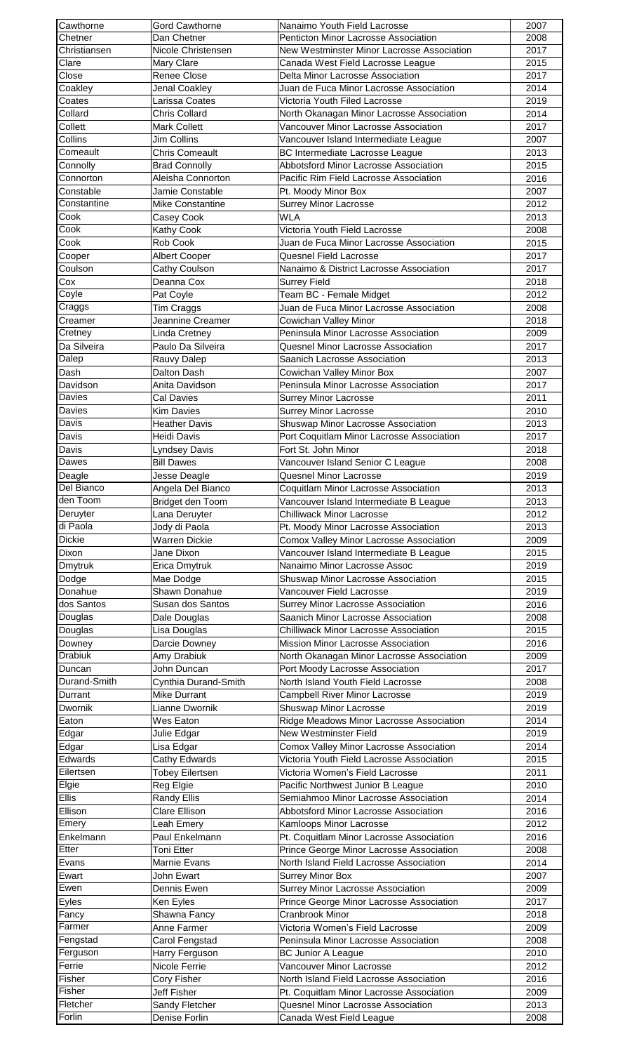| Cawthorne                                                                                                                            | <b>Gord Cawthorne</b>           | Nanaimo Youth Field Lacrosse                                             | 2007         |
|--------------------------------------------------------------------------------------------------------------------------------------|---------------------------------|--------------------------------------------------------------------------|--------------|
| Chetner                                                                                                                              | Dan Chetner                     | <b>Penticton Minor Lacrosse Association</b>                              | 2008         |
| Christiansen<br>Clare                                                                                                                | Nicole Christensen              | New Westminster Minor Lacrosse Association                               | 2017         |
| Close                                                                                                                                | Mary Clare<br>Renee Close       | Canada West Field Lacrosse League<br>Delta Minor Lacrosse Association    | 2015<br>2017 |
| Coakley                                                                                                                              | Jenal Coakley                   | Juan de Fuca Minor Lacrosse Association                                  | 2014         |
| Coates                                                                                                                               | Larissa Coates                  | Victoria Youth Filed Lacrosse                                            | 2019         |
| Collard                                                                                                                              | Chris Collard                   | North Okanagan Minor Lacrosse Association                                | 2014         |
| Collett                                                                                                                              | Mark Collett                    | Vancouver Minor Lacrosse Association                                     | 2017         |
| Collins                                                                                                                              | Jim Collins                     | Vancouver Island Intermediate League                                     | 2007         |
| Comeault                                                                                                                             | <b>Chris Comeault</b>           | BC Intermediate Lacrosse League                                          | 2013         |
| Connolly                                                                                                                             | <b>Brad Connolly</b>            | Abbotsford Minor Lacrosse Association                                    | 2015         |
| Connorton                                                                                                                            | Aleisha Connorton               | Pacific Rim Field Lacrosse Association                                   | 2016         |
| Constable                                                                                                                            | Jamie Constable                 | Pt. Moody Minor Box                                                      | 2007         |
| Constantine                                                                                                                          | <b>Mike Constantine</b>         | <b>Surrey Minor Lacrosse</b>                                             | 2012         |
| Cook<br>Cook                                                                                                                         | Casey Cook                      | <b>WLA</b>                                                               | 2013         |
| Cook                                                                                                                                 | Kathy Cook<br>Rob Cook          | Victoria Youth Field Lacrosse<br>Juan de Fuca Minor Lacrosse Association | 2008<br>2015 |
| Cooper                                                                                                                               | <b>Albert Cooper</b>            | Quesnel Field Lacrosse                                                   | 2017         |
| Coulson                                                                                                                              | Cathy Coulson                   | Nanaimo & District Lacrosse Association                                  | 2017         |
| Cox                                                                                                                                  | Deanna Cox                      | <b>Surrey Field</b>                                                      | 2018         |
| Coyle                                                                                                                                | Pat Coyle                       | Team BC - Female Midget                                                  | 2012         |
| Craggs                                                                                                                               | Tim Craggs                      | Juan de Fuca Minor Lacrosse Association                                  | 2008         |
| Creamer                                                                                                                              | Jeannine Creamer                | Cowichan Valley Minor                                                    | 2018         |
| Cretney                                                                                                                              | Linda Cretney                   | Peninsula Minor Lacrosse Association                                     | 2009         |
| Da Silveira                                                                                                                          | Paulo Da Silveira               | Quesnel Minor Lacrosse Association                                       | 2017         |
| Dalep                                                                                                                                | Rauvy Dalep                     | Saanich Lacrosse Association                                             | 2013         |
| Dash                                                                                                                                 | Dalton Dash                     | Cowichan Valley Minor Box                                                | 2007         |
| Davidson                                                                                                                             | Anita Davidson                  | Peninsula Minor Lacrosse Association                                     | 2017         |
| Davies                                                                                                                               | Cal Davies                      | <b>Surrey Minor Lacrosse</b>                                             | 2011         |
| Davies                                                                                                                               | Kim Davies                      | <b>Surrey Minor Lacrosse</b>                                             | 2010         |
| Davis                                                                                                                                | <b>Heather Davis</b>            | Shuswap Minor Lacrosse Association                                       | 2013         |
| Davis                                                                                                                                | Heidi Davis                     | Port Coquitlam Minor Lacrosse Association                                | 2017         |
| Davis                                                                                                                                | <b>Lyndsey Davis</b>            | Fort St. John Minor                                                      | 2018         |
| Dawes                                                                                                                                | <b>Bill Dawes</b>               | Vancouver Island Senior C League                                         | 2008         |
| Deagle                                                                                                                               | Jesse Deagle                    | Quesnel Minor Lacrosse                                                   | 2019         |
| Del Bianco                                                                                                                           | Angela Del Bianco               | Coquitlam Minor Lacrosse Association                                     | 2013         |
| den Toom                                                                                                                             | Bridget den Toom                | Vancouver Island Intermediate B League                                   | 2013         |
| Deruyter                                                                                                                             | Lana Deruyter                   | <b>Chilliwack Minor Lacrosse</b>                                         | 2012         |
|                                                                                                                                      |                                 |                                                                          |              |
| di Paola                                                                                                                             | Jody di Paola                   | Pt. Moody Minor Lacrosse Association                                     | 2013         |
| <b>Dickie</b>                                                                                                                        | Warren Dickie                   | Comox Valley Minor Lacrosse Association                                  | 2009         |
| Dixon                                                                                                                                | Jane Dixon                      | Vancouver Island Intermediate B League                                   | 2015         |
| <b>Dmytruk</b>                                                                                                                       | Erica Dmytruk                   | Nanaimo Minor Lacrosse Assoc                                             | 2019         |
| Dodge                                                                                                                                | Mae Dodge                       | Shuswap Minor Lacrosse Association                                       | 2015         |
| dos Santos                                                                                                                           | Shawn Donahue                   | Vancouver Field Lacrosse                                                 | 2019         |
| Douglas                                                                                                                              | Susan dos Santos                | Surrey Minor Lacrosse Association<br>Saanich Minor Lacrosse Association  | 2016<br>2008 |
|                                                                                                                                      | Dale Douglas                    | <b>Chilliwack Minor Lacrosse Association</b>                             | 2015         |
| Downey                                                                                                                               | Lisa Douglas<br>Darcie Downey   | Mission Minor Lacrosse Association                                       | 2016         |
| Drabiuk                                                                                                                              | Amy Drabiuk                     | North Okanagan Minor Lacrosse Association                                | 2009         |
|                                                                                                                                      | John Duncan                     | Port Moody Lacrosse Association                                          | 2017         |
| Durand-Smith                                                                                                                         | Cynthia Durand-Smith            | North Island Youth Field Lacrosse                                        | 2008         |
|                                                                                                                                      | Mike Durrant                    | <b>Campbell River Minor Lacrosse</b>                                     | 2019         |
| Dwornik                                                                                                                              | Lianne Dwornik                  | Shuswap Minor Lacrosse                                                   | 2019         |
| Eaton                                                                                                                                | Wes Eaton                       | Ridge Meadows Minor Lacrosse Association                                 | 2014         |
| Edgar                                                                                                                                | Julie Edgar                     | New Westminster Field                                                    | 2019         |
|                                                                                                                                      | Lisa Edgar                      | Comox Valley Minor Lacrosse Association                                  | 2014         |
| Edwards                                                                                                                              | Cathy Edwards                   | Victoria Youth Field Lacrosse Association                                | 2015         |
| Eilertsen                                                                                                                            | <b>Tobey Eilertsen</b>          | Victoria Women's Field Lacrosse                                          | 2011         |
| Elgie                                                                                                                                | Reg Elgie                       | Pacific Northwest Junior B League                                        | 2010         |
| Ellis                                                                                                                                | <b>Randy Ellis</b>              | Semiahmoo Minor Lacrosse Association                                     | 2014         |
| Ellison                                                                                                                              | <b>Clare Ellison</b>            | Abbotsford Minor Lacrosse Association                                    | 2016         |
| Emery                                                                                                                                | Leah Emery                      | Kamloops Minor Lacrosse                                                  | 2012         |
|                                                                                                                                      | Paul Enkelmann<br>Toni Etter    | Pt. Coquitlam Minor Lacrosse Association                                 | 2016         |
| Evans                                                                                                                                | Marnie Evans                    | Prince George Minor Lacrosse Association                                 | 2008<br>2014 |
| Ewart                                                                                                                                | John Ewart                      | North Island Field Lacrosse Association                                  | 2007         |
|                                                                                                                                      | Dennis Ewen                     | Surrey Minor Box<br>Surrey Minor Lacrosse Association                    | 2009         |
| Eyles                                                                                                                                | Ken Eyles                       | Prince George Minor Lacrosse Association                                 | 2017         |
| Fancy                                                                                                                                | Shawna Fancy                    | Cranbrook Minor                                                          | 2018         |
| Farmer                                                                                                                               | Anne Farmer                     | Victoria Women's Field Lacrosse                                          | 2009         |
| Fengstad                                                                                                                             | Carol Fengstad                  | Peninsula Minor Lacrosse Association                                     | 2008         |
|                                                                                                                                      | Harry Ferguson                  | <b>BC Junior A League</b>                                                | 2010         |
|                                                                                                                                      | Nicole Ferrie                   | Vancouver Minor Lacrosse                                                 | 2012         |
| Fisher                                                                                                                               | Cory Fisher                     | North Island Field Lacrosse Association                                  | 2016         |
|                                                                                                                                      | Jeff Fisher                     | Pt. Coquitlam Minor Lacrosse Association                                 | 2009         |
| Donahue<br>Douglas<br>Duncan<br>Durrant<br>Edgar<br>Enkelmann<br>Etter<br>Ewen<br>Ferguson<br>Ferrie<br>Fisher<br>Fletcher<br>Forlin | Sandy Fletcher<br>Denise Forlin | Quesnel Minor Lacrosse Association<br>Canada West Field League           | 2013<br>2008 |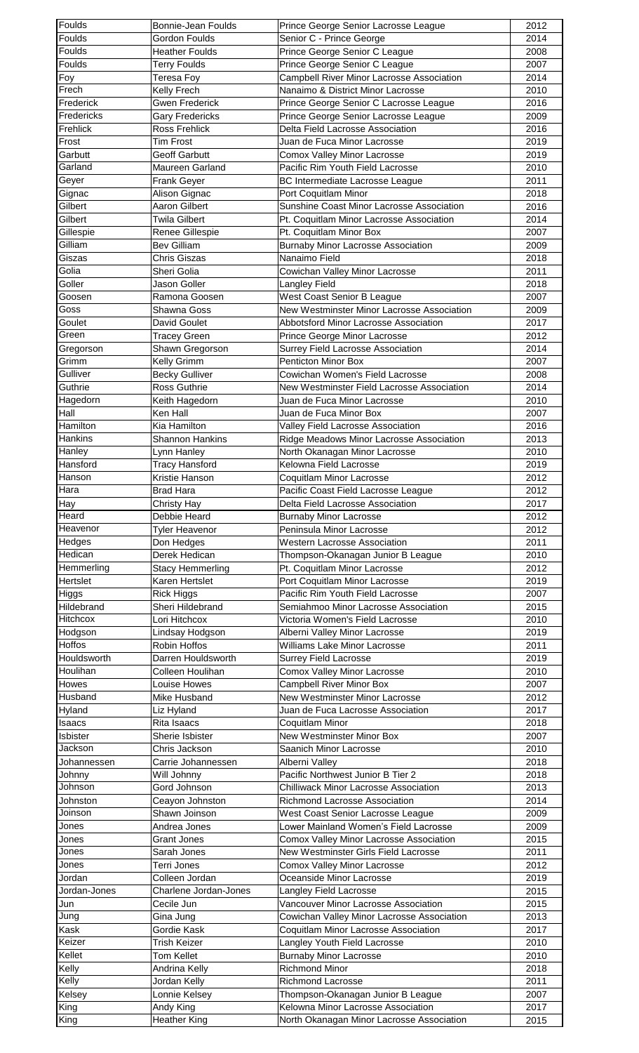| Foulds                          | Bonnie-Jean Foulds               | Prince George Senior Lacrosse League                                            | 2012         |
|---------------------------------|----------------------------------|---------------------------------------------------------------------------------|--------------|
| Foulds                          | Gordon Foulds                    | Senior C - Prince George                                                        | 2014         |
| Foulds                          | <b>Heather Foulds</b>            | Prince George Senior C League                                                   | 2008         |
| Foulds                          | <b>Terry Foulds</b>              | Prince George Senior C League                                                   | 2007         |
| Foy                             | <b>Teresa Foy</b>                | Campbell River Minor Lacrosse Association                                       | 2014         |
| Frech                           | Kelly Frech                      | Nanaimo & District Minor Lacrosse                                               | 2010         |
| Frederick                       | <b>Gwen Frederick</b>            | Prince George Senior C Lacrosse League                                          | 2016         |
| Fredericks                      | <b>Gary Fredericks</b>           | Prince George Senior Lacrosse League                                            | 2009         |
| Frehlick                        | Ross Frehlick                    | Delta Field Lacrosse Association                                                | 2016         |
| Frost                           | <b>Tim Frost</b>                 | Juan de Fuca Minor Lacrosse                                                     | 2019         |
| Garbutt                         | <b>Geoff Garbutt</b>             | <b>Comox Valley Minor Lacrosse</b>                                              | 2019         |
| Garland                         | <b>Maureen Garland</b>           | Pacific Rim Youth Field Lacrosse                                                | 2010         |
| Geyer                           | Frank Geyer                      | BC Intermediate Lacrosse League                                                 | 2011         |
| Gignac                          | Alison Gignac                    | Port Coquitlam Minor                                                            | 2018         |
| Gilbert                         | Aaron Gilbert                    | Sunshine Coast Minor Lacrosse Association                                       | 2016         |
| Gilbert                         | <b>Twila Gilbert</b>             | Pt. Coquitlam Minor Lacrosse Association                                        | 2014         |
| Gillespie                       | Renee Gillespie                  | Pt. Coquitlam Minor Box                                                         | 2007         |
| Gilliam                         | <b>Bev Gilliam</b>               | <b>Burnaby Minor Lacrosse Association</b>                                       | 2009         |
| Giszas                          | Chris Giszas                     | Nanaimo Field                                                                   | 2018         |
| Golia                           | Sheri Golia                      | Cowichan Valley Minor Lacrosse                                                  | 2011         |
| Goller                          | Jason Goller                     | <b>Langley Field</b>                                                            | 2018         |
| Goosen                          | Ramona Goosen                    | West Coast Senior B League                                                      | 2007         |
| Goss                            | Shawna Goss                      | New Westminster Minor Lacrosse Association                                      | 2009         |
| Goulet                          | David Goulet                     | Abbotsford Minor Lacrosse Association                                           | 2017         |
| Green                           | <b>Tracey Green</b>              | Prince George Minor Lacrosse                                                    | 2012         |
| Gregorson                       | Shawn Gregorson                  | Surrey Field Lacrosse Association                                               | 2014         |
| Grimm                           | Kelly Grimm                      | Penticton Minor Box                                                             | 2007         |
| Gulliver                        | <b>Becky Gulliver</b>            | Cowichan Women's Field Lacrosse                                                 | 2008         |
| Guthrie                         | Ross Guthrie                     | New Westminster Field Lacrosse Association                                      | 2014         |
| Hagedorn                        |                                  |                                                                                 |              |
| Hall                            | Keith Hagedorn<br>Ken Hall       | Juan de Fuca Minor Lacrosse<br>Juan de Fuca Minor Box                           | 2010<br>2007 |
|                                 | Kia Hamilton                     |                                                                                 |              |
| Hamilton                        |                                  | Valley Field Lacrosse Association                                               | 2016         |
| <b>Hankins</b>                  | <b>Shannon Hankins</b>           | Ridge Meadows Minor Lacrosse Association                                        | 2013         |
| Hanley                          | Lynn Hanley                      | North Okanagan Minor Lacrosse                                                   | 2010         |
| Hansford                        | <b>Tracy Hansford</b>            | Kelowna Field Lacrosse                                                          | 2019         |
| Hanson                          | Kristie Hanson                   | Coquitlam Minor Lacrosse                                                        | 2012         |
| Hara                            | Brad Hara                        | Pacific Coast Field Lacrosse League                                             | 2012         |
| Hay                             | Christy Hay                      | Delta Field Lacrosse Association                                                | 2017         |
| Heard                           | Debbie Heard                     | <b>Burnaby Minor Lacrosse</b>                                                   | 2012         |
| Heavenor                        | <b>Tyler Heavenor</b>            | Peninsula Minor Lacrosse                                                        | 2012         |
| Hedges                          | Don Hedges                       | <b>Western Lacrosse Association</b>                                             | 2011         |
| Hedican                         | Derek Hedican                    | Thompson-Okanagan Junior B League                                               | 2010         |
| Hemmerling                      | <b>Stacy Hemmerling</b>          | Pt. Coquitlam Minor Lacrosse                                                    | 2012         |
| <b>Hertslet</b>                 | Karen Hertslet                   | Port Coquitlam Minor Lacrosse                                                   | 2019         |
| Higgs                           | <b>Rick Higgs</b>                | Pacific Rim Youth Field Lacrosse                                                | 2007         |
| Hildebrand                      | Sheri Hildebrand                 | Semiahmoo Minor Lacrosse Association                                            | 2015         |
| <b>Hitchcox</b>                 | Lori Hitchcox                    | Victoria Women's Field Lacrosse                                                 | 2010         |
| Hodgson                         | Lindsay Hodgson                  | Alberni Valley Minor Lacrosse                                                   | 2019         |
| <b>Hoffos</b>                   | Robin Hoffos                     | Williams Lake Minor Lacrosse                                                    | 2011         |
| Houldsworth                     | Darren Houldsworth               | <b>Surrey Field Lacrosse</b>                                                    | 2019         |
| Houlihan                        | Colleen Houlihan                 | Comox Valley Minor Lacrosse                                                     | 2010         |
| <b>Howes</b>                    | Louise Howes                     | <b>Campbell River Minor Box</b>                                                 | 2007         |
| Husband                         | Mike Husband                     | New Westminster Minor Lacrosse                                                  | 2012         |
| Hyland                          | Liz Hyland                       | Juan de Fuca Lacrosse Association                                               | 2017         |
| <b>Isaacs</b>                   | Rita Isaacs                      | Coquitlam Minor                                                                 | 2018         |
| Isbister                        | Sherie Isbister                  | New Westminster Minor Box                                                       | 2007         |
| Jackson                         | Chris Jackson                    | Saanich Minor Lacrosse                                                          | 2010         |
| Johannessen                     | Carrie Johannessen               | Alberni Valley                                                                  | 2018         |
| Johnny                          | Will Johnny                      | Pacific Northwest Junior B Tier 2                                               | 2018         |
| Johnson                         | Gord Johnson                     | <b>Chilliwack Minor Lacrosse Association</b>                                    | 2013         |
| Johnston                        | Ceayon Johnston                  | Richmond Lacrosse Association                                                   | 2014         |
| Joinson                         | Shawn Joinson                    | West Coast Senior Lacrosse League                                               | 2009         |
| Jones                           | Andrea Jones                     | Lower Mainland Women's Field Lacrosse                                           | 2009         |
| Jones                           | <b>Grant Jones</b>               | Comox Valley Minor Lacrosse Association                                         | 2015         |
| Jones                           | Sarah Jones                      | New Westminster Girls Field Lacrosse                                            | 2011         |
| Jones                           |                                  |                                                                                 |              |
|                                 | Terri Jones                      | Comox Valley Minor Lacrosse                                                     | 2012         |
| Jordan                          | Colleen Jordan                   | Oceanside Minor Lacrosse                                                        | 2019         |
| Jordan-Jones                    | Charlene Jordan-Jones            | Langley Field Lacrosse                                                          | 2015         |
| Jun                             | Cecile Jun                       | Vancouver Minor Lacrosse Association                                            | 2015         |
| Jung                            |                                  |                                                                                 | 2013         |
| Kask                            | Gina Jung                        | Cowichan Valley Minor Lacrosse Association                                      |              |
|                                 | Gordie Kask                      | Coquitlam Minor Lacrosse Association                                            | 2017         |
|                                 | Trish Keizer                     | Langley Youth Field Lacrosse                                                    | 2010         |
|                                 | <b>Tom Kellet</b>                | <b>Burnaby Minor Lacrosse</b>                                                   | 2010         |
| Keizer<br>Kellet<br>Kelly       | Andrina Kelly                    | Richmond Minor                                                                  | 2018         |
|                                 | Jordan Kelly                     | <b>Richmond Lacrosse</b>                                                        | 2011         |
|                                 | Lonnie Kelsey                    | Thompson-Okanagan Junior B League                                               | 2007         |
| Kelly<br>Kelsey<br>King<br>King | Andy King<br><b>Heather King</b> | Kelowna Minor Lacrosse Association<br>North Okanagan Minor Lacrosse Association | 2017<br>2015 |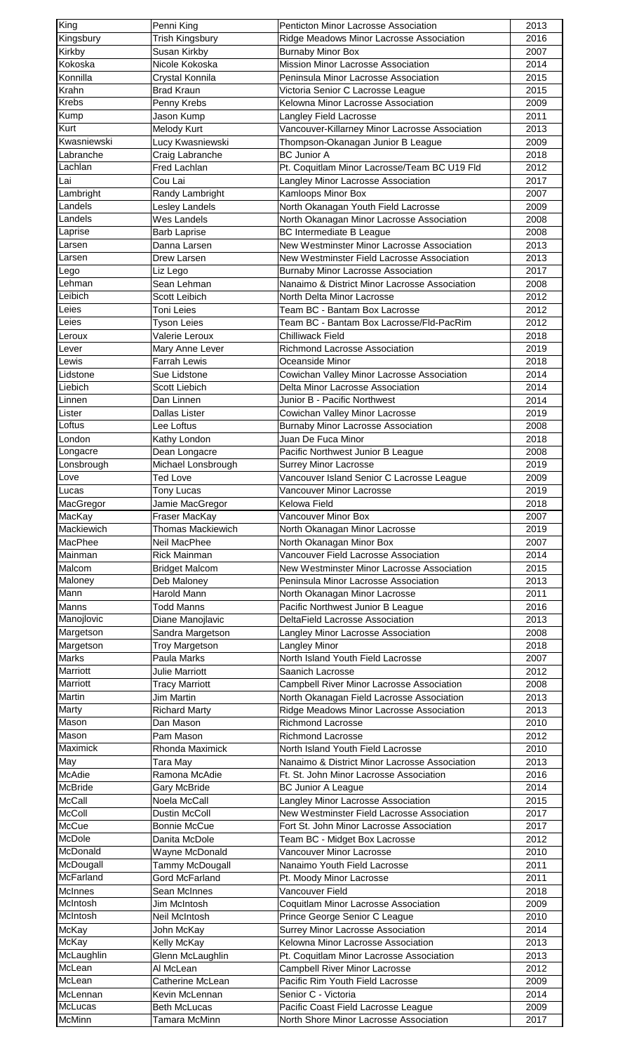| King                                                                                                                                                                                                                                                                                                                                                                                       | Penni King                           | Penticton Minor Lacrosse Association                                          | 2013         |
|--------------------------------------------------------------------------------------------------------------------------------------------------------------------------------------------------------------------------------------------------------------------------------------------------------------------------------------------------------------------------------------------|--------------------------------------|-------------------------------------------------------------------------------|--------------|
| Kingsbury                                                                                                                                                                                                                                                                                                                                                                                  | Trish Kingsbury                      | Ridge Meadows Minor Lacrosse Association                                      | 2016         |
| Kirkby                                                                                                                                                                                                                                                                                                                                                                                     | Susan Kirkby                         | <b>Burnaby Minor Box</b>                                                      | 2007         |
| Kokoska                                                                                                                                                                                                                                                                                                                                                                                    | Nicole Kokoska                       | Mission Minor Lacrosse Association                                            | 2014         |
| Konnilla                                                                                                                                                                                                                                                                                                                                                                                   | Crystal Konnila                      | Peninsula Minor Lacrosse Association                                          | 2015         |
| Krahn                                                                                                                                                                                                                                                                                                                                                                                      | <b>Brad Kraun</b>                    | Victoria Senior C Lacrosse League                                             | 2015         |
| Krebs                                                                                                                                                                                                                                                                                                                                                                                      | Penny Krebs                          | Kelowna Minor Lacrosse Association                                            | 2009         |
| Kump                                                                                                                                                                                                                                                                                                                                                                                       | Jason Kump                           | Langley Field Lacrosse                                                        | 2011         |
| Kurt                                                                                                                                                                                                                                                                                                                                                                                       | Melody Kurt                          | Vancouver-Killarney Minor Lacrosse Association                                | 2013         |
| Kwasniewski                                                                                                                                                                                                                                                                                                                                                                                | Lucy Kwasniewski                     | Thompson-Okanagan Junior B League                                             | 2009         |
| Labranche                                                                                                                                                                                                                                                                                                                                                                                  | Craig Labranche                      | <b>BC Junior A</b>                                                            | 2018         |
| Lachlan                                                                                                                                                                                                                                                                                                                                                                                    | <b>Fred Lachlan</b>                  | Pt. Coquitlam Minor Lacrosse/Team BC U19 Fld                                  | 2012         |
| ∫Lai                                                                                                                                                                                                                                                                                                                                                                                       | Cou Lai                              | Langley Minor Lacrosse Association                                            | 2017         |
| Lambright                                                                                                                                                                                                                                                                                                                                                                                  | Randy Lambright                      | Kamloops Minor Box                                                            | 2007         |
| Landels                                                                                                                                                                                                                                                                                                                                                                                    | Lesley Landels                       | North Okanagan Youth Field Lacrosse                                           | 2009         |
| Landels                                                                                                                                                                                                                                                                                                                                                                                    | Wes Landels                          | North Okanagan Minor Lacrosse Association                                     | 2008         |
| Laprise                                                                                                                                                                                                                                                                                                                                                                                    | <b>Barb Laprise</b>                  | <b>BC Intermediate B League</b>                                               | 2008         |
| Larsen                                                                                                                                                                                                                                                                                                                                                                                     | Danna Larsen                         | New Westminster Minor Lacrosse Association                                    | 2013         |
| Larsen                                                                                                                                                                                                                                                                                                                                                                                     | Drew Larsen                          | New Westminster Field Lacrosse Association                                    | 2013         |
| Lego                                                                                                                                                                                                                                                                                                                                                                                       | Liz Lego                             | <b>Burnaby Minor Lacrosse Association</b>                                     | 2017         |
| Lehman                                                                                                                                                                                                                                                                                                                                                                                     | Sean Lehman                          | Nanaimo & District Minor Lacrosse Association                                 | 2008         |
| Leibich                                                                                                                                                                                                                                                                                                                                                                                    | Scott Leibich                        | North Delta Minor Lacrosse                                                    | 2012         |
| Leies                                                                                                                                                                                                                                                                                                                                                                                      | <b>Toni Leies</b>                    | Team BC - Bantam Box Lacrosse                                                 | 2012         |
| Leies                                                                                                                                                                                                                                                                                                                                                                                      | <b>Tyson Leies</b>                   | Team BC - Bantam Box Lacrosse/Fld-PacRim                                      | 2012         |
| Leroux                                                                                                                                                                                                                                                                                                                                                                                     | Valerie Leroux                       | <b>Chilliwack Field</b>                                                       | 2018         |
| Lever                                                                                                                                                                                                                                                                                                                                                                                      | Mary Anne Lever                      | Richmond Lacrosse Association                                                 | 2019         |
| Lewis                                                                                                                                                                                                                                                                                                                                                                                      | <b>Farrah Lewis</b>                  | Oceanside Minor                                                               | 2018         |
| Lidstone                                                                                                                                                                                                                                                                                                                                                                                   | Sue Lidstone                         | Cowichan Valley Minor Lacrosse Association                                    | 2014         |
| Liebich                                                                                                                                                                                                                                                                                                                                                                                    | Scott Liebich                        | Delta Minor Lacrosse Association                                              | 2014         |
| Linnen                                                                                                                                                                                                                                                                                                                                                                                     | Dan Linnen                           | Junior B - Pacific Northwest                                                  | 2014         |
| Lister                                                                                                                                                                                                                                                                                                                                                                                     | Dallas Lister                        | Cowichan Valley Minor Lacrosse                                                | 2019         |
| Loftus                                                                                                                                                                                                                                                                                                                                                                                     | Lee Loftus                           | <b>Burnaby Minor Lacrosse Association</b>                                     | 2008         |
| London                                                                                                                                                                                                                                                                                                                                                                                     | Kathy London                         | Juan De Fuca Minor                                                            | 2018         |
| Longacre                                                                                                                                                                                                                                                                                                                                                                                   | Dean Longacre                        | Pacific Northwest Junior B League                                             | 2008         |
| Lonsbrough                                                                                                                                                                                                                                                                                                                                                                                 | Michael Lonsbrough                   | <b>Surrey Minor Lacrosse</b>                                                  | 2019         |
| Love                                                                                                                                                                                                                                                                                                                                                                                       | <b>Ted Love</b>                      | Vancouver Island Senior C Lacrosse League                                     | 2009         |
| Lucas                                                                                                                                                                                                                                                                                                                                                                                      |                                      | Vancouver Minor Lacrosse                                                      | 2019         |
| MacGregor                                                                                                                                                                                                                                                                                                                                                                                  | Tony Lucas<br>Jamie MacGregor        | Kelowa Field                                                                  | 2018         |
| MacKay                                                                                                                                                                                                                                                                                                                                                                                     |                                      | Vancouver Minor Box                                                           | 2007         |
|                                                                                                                                                                                                                                                                                                                                                                                            |                                      |                                                                               |              |
|                                                                                                                                                                                                                                                                                                                                                                                            | Fraser MacKay                        |                                                                               |              |
|                                                                                                                                                                                                                                                                                                                                                                                            | <b>Thomas Mackiewich</b>             | North Okanagan Minor Lacrosse                                                 | 2019         |
|                                                                                                                                                                                                                                                                                                                                                                                            | Neil MacPhee                         | North Okanagan Minor Box                                                      | 2007         |
|                                                                                                                                                                                                                                                                                                                                                                                            | <b>Rick Mainman</b>                  | Vancouver Field Lacrosse Association                                          | 2014         |
|                                                                                                                                                                                                                                                                                                                                                                                            | <b>Bridget Malcom</b>                | New Westminster Minor Lacrosse Association                                    | 2015         |
|                                                                                                                                                                                                                                                                                                                                                                                            | Deb Maloney                          | Peninsula Minor Lacrosse Association                                          | 2013         |
|                                                                                                                                                                                                                                                                                                                                                                                            | <b>Harold Mann</b>                   | North Okanagan Minor Lacrosse                                                 | 2011         |
|                                                                                                                                                                                                                                                                                                                                                                                            | <b>Todd Manns</b>                    | Pacific Northwest Junior B League                                             | 2016         |
|                                                                                                                                                                                                                                                                                                                                                                                            | Diane Manojlavic                     | DeltaField Lacrosse Association                                               | 2013         |
|                                                                                                                                                                                                                                                                                                                                                                                            | Sandra Margetson                     | Langley Minor Lacrosse Association                                            | 2008         |
|                                                                                                                                                                                                                                                                                                                                                                                            | <b>Troy Margetson</b>                | Langley Minor                                                                 | 2018         |
|                                                                                                                                                                                                                                                                                                                                                                                            | Paula Marks                          | North Island Youth Field Lacrosse                                             | 2007         |
|                                                                                                                                                                                                                                                                                                                                                                                            | <b>Julie Marriott</b>                | Saanich Lacrosse                                                              | 2012         |
|                                                                                                                                                                                                                                                                                                                                                                                            | <b>Tracy Marriott</b>                | Campbell River Minor Lacrosse Association                                     | 2008         |
|                                                                                                                                                                                                                                                                                                                                                                                            | Jim Martin                           | North Okanagan Field Lacrosse Association                                     | 2013         |
|                                                                                                                                                                                                                                                                                                                                                                                            | <b>Richard Marty</b>                 | Ridge Meadows Minor Lacrosse Association                                      | 2013         |
|                                                                                                                                                                                                                                                                                                                                                                                            | Dan Mason                            | <b>Richmond Lacrosse</b>                                                      | 2010         |
|                                                                                                                                                                                                                                                                                                                                                                                            | Pam Mason                            | Richmond Lacrosse                                                             | 2012         |
|                                                                                                                                                                                                                                                                                                                                                                                            | Rhonda Maximick                      | North Island Youth Field Lacrosse                                             | 2010         |
|                                                                                                                                                                                                                                                                                                                                                                                            | Tara May                             | Nanaimo & District Minor Lacrosse Association                                 | 2013         |
|                                                                                                                                                                                                                                                                                                                                                                                            | Ramona McAdie                        | Ft. St. John Minor Lacrosse Association                                       | 2016         |
|                                                                                                                                                                                                                                                                                                                                                                                            | Gary McBride                         | <b>BC Junior A League</b>                                                     | 2014         |
|                                                                                                                                                                                                                                                                                                                                                                                            | Noela McCall                         | Langley Minor Lacrosse Association                                            | 2015         |
|                                                                                                                                                                                                                                                                                                                                                                                            | Dustin McColl                        | New Westminster Field Lacrosse Association                                    | 2017         |
|                                                                                                                                                                                                                                                                                                                                                                                            | Bonnie McCue                         | Fort St. John Minor Lacrosse Association                                      | 2017         |
|                                                                                                                                                                                                                                                                                                                                                                                            | Danita McDole                        | Team BC - Midget Box Lacrosse                                                 | 2012         |
|                                                                                                                                                                                                                                                                                                                                                                                            | Wayne McDonald                       | <b>Vancouver Minor Lacrosse</b>                                               | 2010         |
|                                                                                                                                                                                                                                                                                                                                                                                            | Tammy McDougall                      | Nanaimo Youth Field Lacrosse                                                  | 2011         |
|                                                                                                                                                                                                                                                                                                                                                                                            | <b>Gord McFarland</b>                | Pt. Moody Minor Lacrosse                                                      | 2011         |
|                                                                                                                                                                                                                                                                                                                                                                                            | Sean McInnes                         | Vancouver Field                                                               | 2018         |
|                                                                                                                                                                                                                                                                                                                                                                                            | Jim McIntosh                         |                                                                               | 2009         |
|                                                                                                                                                                                                                                                                                                                                                                                            | Neil McIntosh                        | Coquitlam Minor Lacrosse Association                                          | 2010         |
|                                                                                                                                                                                                                                                                                                                                                                                            |                                      | Prince George Senior C League                                                 |              |
|                                                                                                                                                                                                                                                                                                                                                                                            | John McKay                           | Surrey Minor Lacrosse Association                                             | 2014         |
|                                                                                                                                                                                                                                                                                                                                                                                            | Kelly McKay                          | Kelowna Minor Lacrosse Association                                            | 2013         |
| Mackiewich<br>MacPhee<br>Mainman<br>Malcom<br>Maloney<br>Mann<br>Manns<br>Manojlovic<br>Margetson<br>Margetson<br><b>Marks</b><br>Marriott<br>Marriott<br>Martin<br>Marty<br>Mason<br>Mason<br>Maximick<br>May<br>McAdie<br>McBride<br>McCall<br>McColl<br>McCue<br>McDole<br>McDonald<br>McDougall<br>McFarland<br>McInnes<br>McIntosh<br>McIntosh<br>McKay<br><b>McKay</b><br>McLaughlin | Glenn McLaughlin                     | Pt. Coquitlam Minor Lacrosse Association                                      | 2013         |
| McLean                                                                                                                                                                                                                                                                                                                                                                                     | Al McLean                            | Campbell River Minor Lacrosse                                                 | 2012         |
| McLean                                                                                                                                                                                                                                                                                                                                                                                     | Catherine McLean                     | Pacific Rim Youth Field Lacrosse                                              | 2009         |
| McLennan                                                                                                                                                                                                                                                                                                                                                                                   | Kevin McLennan                       | Senior C - Victoria                                                           | 2014         |
| McLucas<br>McMinn                                                                                                                                                                                                                                                                                                                                                                          | <b>Beth McLucas</b><br>Tamara McMinn | Pacific Coast Field Lacrosse League<br>North Shore Minor Lacrosse Association | 2009<br>2017 |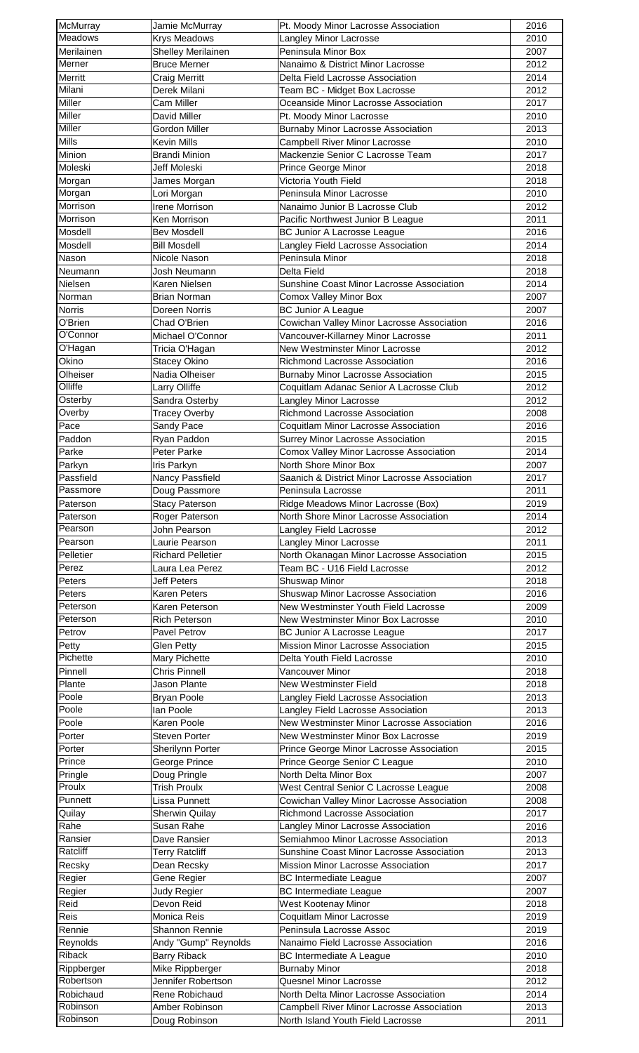| McMurray              | Jamie McMurray                          | Pt. Moody Minor Lacrosse Association                                         | 2016         |
|-----------------------|-----------------------------------------|------------------------------------------------------------------------------|--------------|
| Meadows               | <b>Krys Meadows</b>                     | Langley Minor Lacrosse                                                       | 2010         |
| Merilainen            | <b>Shelley Merilainen</b>               | Peninsula Minor Box                                                          | 2007         |
| Merner<br>Merritt     | <b>Bruce Merner</b>                     | Nanaimo & District Minor Lacrosse                                            | 2012         |
| Milani                | <b>Craig Merritt</b><br>Derek Milani    | Delta Field Lacrosse Association<br>Team BC - Midget Box Lacrosse            | 2014<br>2012 |
| Miller                | Cam Miller                              | Oceanside Minor Lacrosse Association                                         | 2017         |
| Miller                | David Miller                            | Pt. Moody Minor Lacrosse                                                     | 2010         |
| Miller                | Gordon Miller                           | <b>Burnaby Minor Lacrosse Association</b>                                    | 2013         |
| Mills                 | <b>Kevin Mills</b>                      | Campbell River Minor Lacrosse                                                | 2010         |
| Minion                | <b>Brandi Minion</b>                    | Mackenzie Senior C Lacrosse Team                                             | 2017         |
| Moleski               | Jeff Moleski                            | Prince George Minor                                                          | 2018         |
| Morgan                | James Morgan                            | Victoria Youth Field                                                         | 2018         |
| Morgan                | Lori Morgan                             | Peninsula Minor Lacrosse                                                     | 2010         |
| Morrison              | Irene Morrison                          | Nanaimo Junior B Lacrosse Club                                               | 2012         |
| Morrison              | Ken Morrison                            | Pacific Northwest Junior B League                                            | 2011         |
| Mosdell               | <b>Bev Mosdell</b>                      | <b>BC Junior A Lacrosse League</b>                                           | 2016         |
| Mosdell               | <b>Bill Mosdell</b>                     | Langley Field Lacrosse Association                                           | 2014         |
| Nason<br>Neumann      | Nicole Nason<br>Josh Neumann            | Peninsula Minor<br>Delta Field                                               | 2018         |
| Nielsen               | Karen Nielsen                           | Sunshine Coast Minor Lacrosse Association                                    | 2018<br>2014 |
| Norman                | <b>Brian Norman</b>                     | Comox Valley Minor Box                                                       | 2007         |
| <b>Norris</b>         | Doreen Norris                           | <b>BC Junior A League</b>                                                    | 2007         |
| O'Brien               | Chad O'Brien                            | Cowichan Valley Minor Lacrosse Association                                   | 2016         |
| O'Connor              | Michael O'Connor                        | Vancouver-Killarney Minor Lacrosse                                           | 2011         |
| O'Hagan               | Tricia O'Hagan                          | New Westminster Minor Lacrosse                                               | 2012         |
| Okino                 | <b>Stacey Okino</b>                     | Richmond Lacrosse Association                                                | 2016         |
| Olheiser              | Nadia Olheiser                          | <b>Burnaby Minor Lacrosse Association</b>                                    | 2015         |
| Olliffe               | Larry Olliffe                           | Coquitlam Adanac Senior A Lacrosse Club                                      | 2012         |
| Osterby               | Sandra Osterby                          | Langley Minor Lacrosse                                                       | 2012         |
| Overby                | <b>Tracey Overby</b>                    | Richmond Lacrosse Association                                                | 2008         |
| Pace                  | Sandy Pace                              | Coquitlam Minor Lacrosse Association                                         | 2016         |
| Paddon                | Ryan Paddon                             | Surrey Minor Lacrosse Association                                            | 2015         |
| Parke                 | Peter Parke                             | Comox Valley Minor Lacrosse Association                                      | 2014         |
| Parkyn                | Iris Parkyn                             | North Shore Minor Box                                                        | 2007         |
| Passfield             | Nancy Passfield                         | Saanich & District Minor Lacrosse Association                                | 2017         |
| Passmore<br>Paterson  | Doug Passmore                           | Peninsula Lacrosse                                                           | 2011         |
| Paterson              | <b>Stacy Paterson</b><br>Roger Paterson | Ridge Meadows Minor Lacrosse (Box)<br>North Shore Minor Lacrosse Association | 2019<br>2014 |
| Pearson               | John Pearson                            | Langley Field Lacrosse                                                       | 2012         |
| Pearson               | Laurie Pearson                          | Langley Minor Lacrosse                                                       | 2011         |
| Pelletier             | <b>Richard Pelletier</b>                | North Okanagan Minor Lacrosse Association                                    | 2015         |
| Perez                 | Laura Lea Perez                         | Team BC - U16 Field Lacrosse                                                 | 2012         |
| Peters                | <b>Jeff Peters</b>                      | Shuswap Minor                                                                | 2018         |
| Peters                | <b>Karen Peters</b>                     | Shuswap Minor Lacrosse Association                                           | 2016         |
| Peterson              | Karen Peterson                          | New Westminster Youth Field Lacrosse                                         | 2009         |
| Peterson              | Rich Peterson                           | New Westminster Minor Box Lacrosse                                           | 2010         |
| Petrov                | Pavel Petrov                            | BC Junior A Lacrosse League                                                  | 2017         |
| Petty                 | Glen Petty                              | Mission Minor Lacrosse Association                                           | 2015         |
| Pichette              | Mary Pichette                           | Delta Youth Field Lacrosse                                                   | 2010         |
| Pinnell               | Chris Pinnell                           | Vancouver Minor                                                              | 2018         |
| Plante                | Jason Plante                            | New Westminster Field                                                        | 2018         |
| Poole                 | <b>Bryan Poole</b>                      | Langley Field Lacrosse Association                                           | 2013         |
| Poole                 | lan Poole                               | Langley Field Lacrosse Association                                           | 2013         |
| Poole                 | Karen Poole                             | New Westminster Minor Lacrosse Association                                   | 2016         |
| Porter                | <b>Steven Porter</b>                    | New Westminster Minor Box Lacrosse                                           | 2019         |
| Porter<br>Prince      | Sherilynn Porter                        | Prince George Minor Lacrosse Association                                     | 2015         |
| Pringle               | George Prince<br>Doug Pringle           | Prince George Senior C League<br>North Delta Minor Box                       | 2010<br>2007 |
| Proulx                | Trish Proulx                            | West Central Senior C Lacrosse League                                        | 2008         |
| Punnett               | Lissa Punnett                           | Cowichan Valley Minor Lacrosse Association                                   | 2008         |
| Quilay                | <b>Sherwin Quilay</b>                   | Richmond Lacrosse Association                                                | 2017         |
| Rahe                  | Susan Rahe                              | Langley Minor Lacrosse Association                                           | 2016         |
| Ransier               | Dave Ransier                            | Semiahmoo Minor Lacrosse Association                                         | 2013         |
| Ratcliff              | <b>Terry Ratcliff</b>                   | Sunshine Coast Minor Lacrosse Association                                    | 2013         |
| Recsky                | Dean Recsky                             | Mission Minor Lacrosse Association                                           | 2017         |
| Regier                | Gene Regier                             | <b>BC Intermediate League</b>                                                | 2007         |
| Regier                | Judy Regier                             | <b>BC Intermediate League</b>                                                | 2007         |
| Reid                  | Devon Reid                              | West Kootenay Minor                                                          | 2018         |
| Reis                  | Monica Reis                             | Coquitlam Minor Lacrosse                                                     | 2019         |
| Rennie                | Shannon Rennie                          | Peninsula Lacrosse Assoc                                                     | 2019         |
| Reynolds              | Andy "Gump" Reynolds                    | Nanaimo Field Lacrosse Association                                           | 2016         |
| Riback                | <b>Barry Riback</b>                     | <b>BC Intermediate A League</b>                                              | 2010         |
| Rippberger            | Mike Rippberger                         | <b>Burnaby Minor</b>                                                         | 2018         |
| Robertson             | Jennifer Robertson                      | Quesnel Minor Lacrosse                                                       | 2012         |
| Robichaud<br>Robinson | Rene Robichaud                          | North Delta Minor Lacrosse Association                                       | 2014         |
| Robinson              | Amber Robinson                          | <b>Campbell River Minor Lacrosse Association</b>                             | 2013         |
|                       | Doug Robinson                           | North Island Youth Field Lacrosse                                            | 2011         |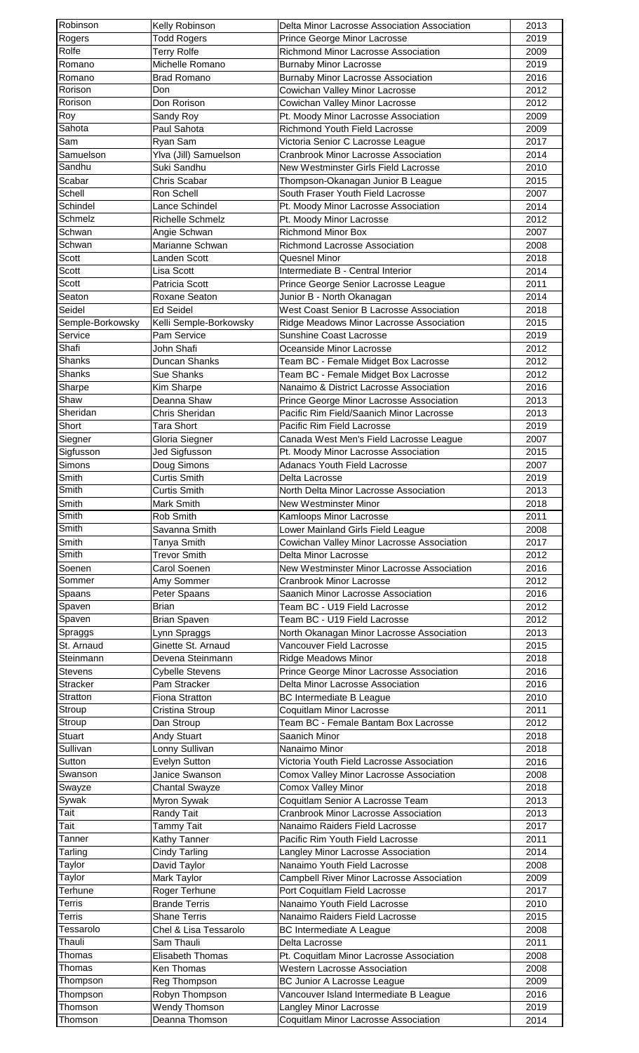| Robinson         | Kelly Robinson         | Delta Minor Lacrosse Association Association | 2013 |
|------------------|------------------------|----------------------------------------------|------|
| Rogers           | <b>Todd Rogers</b>     | Prince George Minor Lacrosse                 | 2019 |
| Rolfe            | <b>Terry Rolfe</b>     | Richmond Minor Lacrosse Association          | 2009 |
| Romano           | Michelle Romano        | <b>Burnaby Minor Lacrosse</b>                | 2019 |
| Romano           | Brad Romano            | <b>Burnaby Minor Lacrosse Association</b>    | 2016 |
| Rorison          | Don                    | Cowichan Valley Minor Lacrosse               | 2012 |
| Rorison          | Don Rorison            | Cowichan Valley Minor Lacrosse               | 2012 |
| Roy              | Sandy Roy              | Pt. Moody Minor Lacrosse Association         | 2009 |
| Sahota           | Paul Sahota            | Richmond Youth Field Lacrosse                | 2009 |
| Sam              | Ryan Sam               | Victoria Senior C Lacrosse League            | 2017 |
| Samuelson        | Ylva (Jill) Samuelson  | <b>Cranbrook Minor Lacrosse Association</b>  | 2014 |
| Sandhu           | Suki Sandhu            | New Westminster Girls Field Lacrosse         | 2010 |
| Scabar           | Chris Scabar           | Thompson-Okanagan Junior B League            | 2015 |
| Schell           | Ron Schell             | South Fraser Youth Field Lacrosse            | 2007 |
| Schindel         | Lance Schindel         | Pt. Moody Minor Lacrosse Association         | 2014 |
| Schmelz          | Richelle Schmelz       | Pt. Moody Minor Lacrosse                     | 2012 |
| Schwan           | Angie Schwan           | <b>Richmond Minor Box</b>                    | 2007 |
| Schwan           | Marianne Schwan        | Richmond Lacrosse Association                | 2008 |
| Scott            | Landen Scott           | Quesnel Minor                                | 2018 |
| Scott            | Lisa Scott             | Intermediate B - Central Interior            | 2014 |
| Scott            | Patricia Scott         | Prince George Senior Lacrosse League         | 2011 |
| Seaton           | Roxane Seaton          | Junior B - North Okanagan                    | 2014 |
| Seidel           | <b>Ed Seidel</b>       | West Coast Senior B Lacrosse Association     | 2018 |
| Semple-Borkowsky | Kelli Semple-Borkowsky | Ridge Meadows Minor Lacrosse Association     | 2015 |
| Service          | Pam Service            | Sunshine Coast Lacrosse                      | 2019 |
| Shafi            | John Shafi             | Oceanside Minor Lacrosse                     | 2012 |
| Shanks           | Duncan Shanks          | Team BC - Female Midget Box Lacrosse         | 2012 |
| Shanks           |                        |                                              |      |
|                  | <b>Sue Shanks</b>      | Team BC - Female Midget Box Lacrosse         | 2012 |
| Sharpe<br>Shaw   | Kim Sharpe             | Nanaimo & District Lacrosse Association      | 2016 |
|                  | Deanna Shaw            | Prince George Minor Lacrosse Association     | 2013 |
| Sheridan         | Chris Sheridan         | Pacific Rim Field/Saanich Minor Lacrosse     | 2013 |
| Short            | <b>Tara Short</b>      | Pacific Rim Field Lacrosse                   | 2019 |
| Siegner          | Gloria Siegner         | Canada West Men's Field Lacrosse League      | 2007 |
| Sigfusson        | Jed Sigfusson          | Pt. Moody Minor Lacrosse Association         | 2015 |
| Simons           | Doug Simons            | <b>Adanacs Youth Field Lacrosse</b>          | 2007 |
| Smith            | <b>Curtis Smith</b>    | Delta Lacrosse                               | 2019 |
| Smith            | <b>Curtis Smith</b>    | North Delta Minor Lacrosse Association       | 2013 |
| Smith            | Mark Smith             | New Westminster Minor                        | 2018 |
| Smith            | Rob Smith              | Kamloops Minor Lacrosse                      | 2011 |
| Smith            | Savanna Smith          | Lower Mainland Girls Field League            | 2008 |
| Smith            | Tanya Smith            | Cowichan Valley Minor Lacrosse Association   | 2017 |
| Smith            | <b>Trevor Smith</b>    | Delta Minor Lacrosse                         | 2012 |
| Soenen           | Carol Soenen           | New Westminster Minor Lacrosse Association   | 2016 |
| Sommer           | Amy Sommer             | Cranbrook Minor Lacrosse                     | 2012 |
| Spaans           | Peter Spaans           | Saanich Minor Lacrosse Association           | 2016 |
| Spaven           | <b>Brian</b>           | Team BC - U19 Field Lacrosse                 | 2012 |
| Spaven           | <b>Brian Spaven</b>    | Team BC - U19 Field Lacrosse                 | 2012 |
| Spraggs          | Lynn Spraggs           | North Okanagan Minor Lacrosse Association    | 2013 |
| St. Arnaud       | Ginette St. Arnaud     | Vancouver Field Lacrosse                     | 2015 |
| Steinmann        | Devena Steinmann       | <b>Ridge Meadows Minor</b>                   | 2018 |
| <b>Stevens</b>   | <b>Cybelle Stevens</b> | Prince George Minor Lacrosse Association     | 2016 |
| <b>Stracker</b>  | Pam Stracker           | Delta Minor Lacrosse Association             | 2016 |
| Stratton         | Fiona Stratton         | <b>BC Intermediate B League</b>              | 2010 |
| Stroup           | Cristina Stroup        | Coquitlam Minor Lacrosse                     | 2011 |
| Stroup           | Dan Stroup             | Team BC - Female Bantam Box Lacrosse         | 2012 |
| Stuart           | <b>Andy Stuart</b>     | Saanich Minor                                | 2018 |
| Sullivan         | Lonny Sullivan         | Nanaimo Minor                                | 2018 |
| Sutton           | Evelyn Sutton          | Victoria Youth Field Lacrosse Association    | 2016 |
| Swanson          | Janice Swanson         | Comox Valley Minor Lacrosse Association      | 2008 |
| Swayze           | <b>Chantal Swayze</b>  | Comox Valley Minor                           | 2018 |
| Sywak            | Myron Sywak            | Coquitlam Senior A Lacrosse Team             | 2013 |
| Tait             | Randy Tait             | <b>Cranbrook Minor Lacrosse Association</b>  | 2013 |
| Tait             | <b>Tammy Tait</b>      | Nanaimo Raiders Field Lacrosse               | 2017 |
| Tanner           | Kathy Tanner           | Pacific Rim Youth Field Lacrosse             | 2011 |
|                  |                        |                                              |      |
| Tarling          | <b>Cindy Tarling</b>   | Langley Minor Lacrosse Association           | 2014 |
| Taylor           | David Taylor           | Nanaimo Youth Field Lacrosse                 | 2008 |
| Taylor           | Mark Taylor            | Campbell River Minor Lacrosse Association    | 2009 |
| Terhune          | Roger Terhune          | Port Coquitlam Field Lacrosse                | 2017 |
| <b>Terris</b>    | <b>Brande Terris</b>   | Nanaimo Youth Field Lacrosse                 | 2010 |
| Terris           | <b>Shane Terris</b>    | Nanaimo Raiders Field Lacrosse               | 2015 |
| Tessarolo        | Chel & Lisa Tessarolo  | <b>BC Intermediate A League</b>              | 2008 |
| Thauli           | Sam Thauli             | Delta Lacrosse                               | 2011 |
| Thomas           | Elisabeth Thomas       | Pt. Coquitlam Minor Lacrosse Association     | 2008 |
| Thomas           | Ken Thomas             | <b>Western Lacrosse Association</b>          | 2008 |
| Thompson         | Reg Thompson           | <b>BC Junior A Lacrosse League</b>           | 2009 |
| Thompson         | Robyn Thompson         | Vancouver Island Intermediate B League       | 2016 |
| Thomson          | Wendy Thomson          | Langley Minor Lacrosse                       | 2019 |
| Thomson          | Deanna Thomson         | Coquitlam Minor Lacrosse Association         | 2014 |